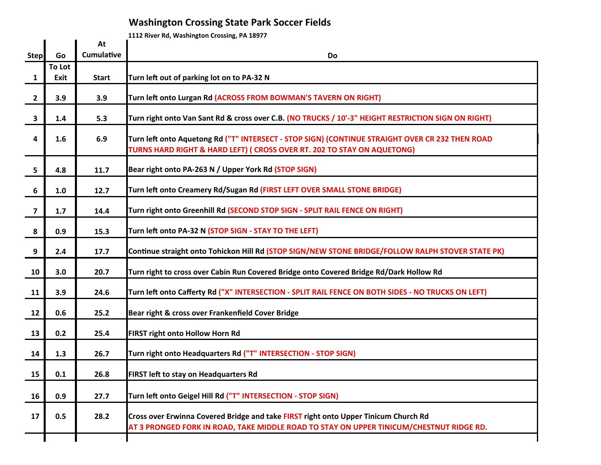## **Washington Crossing State Park Soccer Fields**

**1112 River Rd, Washington Crossing, PA 18977** 

|                         |        | At                | $\sim$ means the commission crossing, i.e. 1037 a                                                                                                                              |
|-------------------------|--------|-------------------|--------------------------------------------------------------------------------------------------------------------------------------------------------------------------------|
| <b>Step</b>             | Go     | <b>Cumulative</b> | Do                                                                                                                                                                             |
|                         | To Lot |                   |                                                                                                                                                                                |
| $\mathbf{1}$            | Exit   | <b>Start</b>      | Turn left out of parking lot on to PA-32 N                                                                                                                                     |
| $\overline{2}$          | 3.9    | 3.9               | Turn left onto Lurgan Rd (ACROSS FROM BOWMAN'S TAVERN ON RIGHT)                                                                                                                |
| $\overline{\mathbf{3}}$ | 1.4    | 5.3               | Turn right onto Van Sant Rd & cross over C.B. (NO TRUCKS / 10'-3" HEIGHT RESTRICTION SIGN ON RIGHT)                                                                            |
| 4                       | 1.6    | 6.9               | Turn left onto Aquetong Rd ("T" INTERSECT - STOP SIGN) (CONTINUE STRAIGHT OVER CR 232 THEN ROAD<br>TURNS HARD RIGHT & HARD LEFT) ( CROSS OVER RT. 202 TO STAY ON AQUETONG)     |
| 5                       | 4.8    | 11.7              | Bear right onto PA-263 N / Upper York Rd (STOP SIGN)                                                                                                                           |
| 6                       | 1.0    | 12.7              | Turn left onto Creamery Rd/Sugan Rd (FIRST LEFT OVER SMALL STONE BRIDGE)                                                                                                       |
| $\overline{\mathbf{z}}$ | 1.7    | 14.4              | Turn right onto Greenhill Rd (SECOND STOP SIGN - SPLIT RAIL FENCE ON RIGHT)                                                                                                    |
| 8                       | 0.9    | 15.3              | Turn left onto PA-32 N (STOP SIGN - STAY TO THE LEFT)                                                                                                                          |
| 9                       | 2.4    | 17.7              | Continue straight onto Tohickon Hill Rd (STOP SIGN/NEW STONE BRIDGE/FOLLOW RALPH STOVER STATE PK)                                                                              |
| 10                      | 3.0    | 20.7              | Turn right to cross over Cabin Run Covered Bridge onto Covered Bridge Rd/Dark Hollow Rd                                                                                        |
| 11                      | 3.9    | 24.6              | Turn left onto Cafferty Rd ("X" INTERSECTION - SPLIT RAIL FENCE ON BOTH SIDES - NO TRUCKS ON LEFT)                                                                             |
| 12                      | 0.6    | 25.2              | Bear right & cross over Frankenfield Cover Bridge                                                                                                                              |
| 13                      | 0.2    | 25.4              | FIRST right onto Hollow Horn Rd                                                                                                                                                |
| 14                      | 1.3    | 26.7              | Turn right onto Headquarters Rd ("T" INTERSECTION - STOP SIGN)                                                                                                                 |
| 15                      | 0.1    | 26.8              | <b>FIRST left to stay on Headquarters Rd</b>                                                                                                                                   |
| 16                      | 0.9    | 27.7              | Turn left onto Geigel Hill Rd ("T" INTERSECTION - STOP SIGN)                                                                                                                   |
| 17                      | 0.5    | 28.2              | Cross over Erwinna Covered Bridge and take FIRST right onto Upper Tinicum Church Rd<br>AT 3 PRONGED FORK IN ROAD, TAKE MIDDLE ROAD TO STAY ON UPPER TINICUM/CHESTNUT RIDGE RD. |
|                         |        |                   |                                                                                                                                                                                |